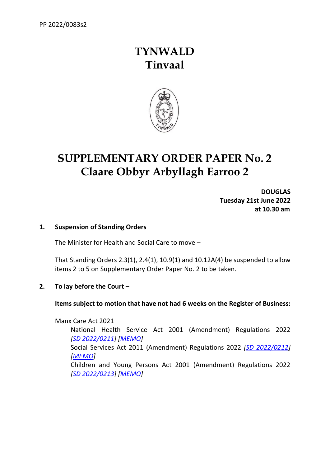## **TYNWALD Tinvaal**



# **SUPPLEMENTARY ORDER PAPER No. 2 Claare Obbyr Arbyllagh Earroo 2**

**DOUGLAS Tuesday 21st June 2022 at 10.30 am**

#### **1. Suspension of Standing Orders**

The Minister for Health and Social Care to move –

That Standing Orders 2.3(1), 2.4(1), 10.9(1) and 10.12A(4) be suspended to allow items 2 to 5 on Supplementary Order Paper No. 2 to be taken.

#### **2. To lay before the Court –**

#### **Items subject to motion that have not had 6 weeks on the Register of Business:**

Manx Care Act 2021 National Health Service Act 2001 (Amendment) Regulations 2022 *[SD [2022/0211\]](https://www.tynwald.org.im/business/opqp/sittings/20212026/2022-SD-0211.pdf) [\[MEMO\]](https://www.tynwald.org.im/business/opqp/sittings/20212026/2022-SD-0211-memo.pdf)* Social Services Act 2011 (Amendment) Regulations 2022 *[\[SD 2022/0212\]](https://www.tynwald.org.im/business/opqp/sittings/20212026/2022-SD-0212.pdf) [\[MEMO\]](https://www.tynwald.org.im/business/opqp/sittings/20212026/2022-SD-0212-memo.pdf)* Children and Young Persons Act 2001 (Amendment) Regulations 2022 *[SD [2022/0213\]](https://www.tynwald.org.im/business/opqp/sittings/20212026/2022-SD-0213.pdf) [\[MEMO\]](https://www.tynwald.org.im/business/opqp/sittings/20212026/2022-SD-0213-memo.pdf)*